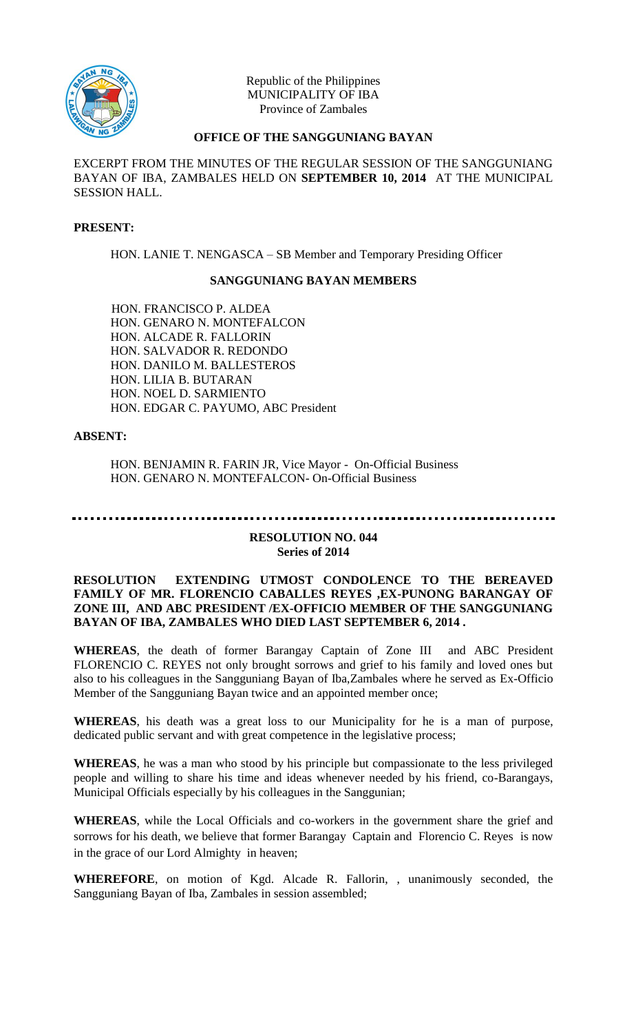

Republic of the Philippines MUNICIPALITY OF IBA Province of Zambales

### **OFFICE OF THE SANGGUNIANG BAYAN**

EXCERPT FROM THE MINUTES OF THE REGULAR SESSION OF THE SANGGUNIANG BAYAN OF IBA, ZAMBALES HELD ON **SEPTEMBER 10, 2014** AT THE MUNICIPAL SESSION HALL.

#### **PRESENT:**

HON. LANIE T. NENGASCA – SB Member and Temporary Presiding Officer

#### **SANGGUNIANG BAYAN MEMBERS**

HON. FRANCISCO P. ALDEA HON. GENARO N. MONTEFALCON HON. ALCADE R. FALLORIN HON. SALVADOR R. REDONDO HON. DANILO M. BALLESTEROS HON. LILIA B. BUTARAN HON. NOEL D. SARMIENTO HON. EDGAR C. PAYUMO, ABC President

#### **ABSENT:**

HON. BENJAMIN R. FARIN JR, Vice Mayor - On-Official Business HON. GENARO N. MONTEFALCON- On-Official Business

## **RESOLUTION NO. 044**

# **Series of 2014**

#### **RESOLUTION EXTENDING UTMOST CONDOLENCE TO THE BEREAVED FAMILY OF MR. FLORENCIO CABALLES REYES ,EX-PUNONG BARANGAY OF ZONE III, AND ABC PRESIDENT /EX-OFFICIO MEMBER OF THE SANGGUNIANG BAYAN OF IBA, ZAMBALES WHO DIED LAST SEPTEMBER 6, 2014 .**

**WHEREAS**, the death of former Barangay Captain of Zone III and ABC President FLORENCIO C. REYES not only brought sorrows and grief to his family and loved ones but also to his colleagues in the Sangguniang Bayan of Iba,Zambales where he served as Ex-Officio Member of the Sangguniang Bayan twice and an appointed member once;

**WHEREAS**, his death was a great loss to our Municipality for he is a man of purpose, dedicated public servant and with great competence in the legislative process;

**WHEREAS**, he was a man who stood by his principle but compassionate to the less privileged people and willing to share his time and ideas whenever needed by his friend, co-Barangays, Municipal Officials especially by his colleagues in the Sanggunian;

**WHEREAS**, while the Local Officials and co-workers in the government share the grief and sorrows for his death, we believe that former Barangay Captain and Florencio C. Reyes is now in the grace of our Lord Almighty in heaven;

**WHEREFORE**, on motion of Kgd. Alcade R. Fallorin, , unanimously seconded, the Sangguniang Bayan of Iba, Zambales in session assembled;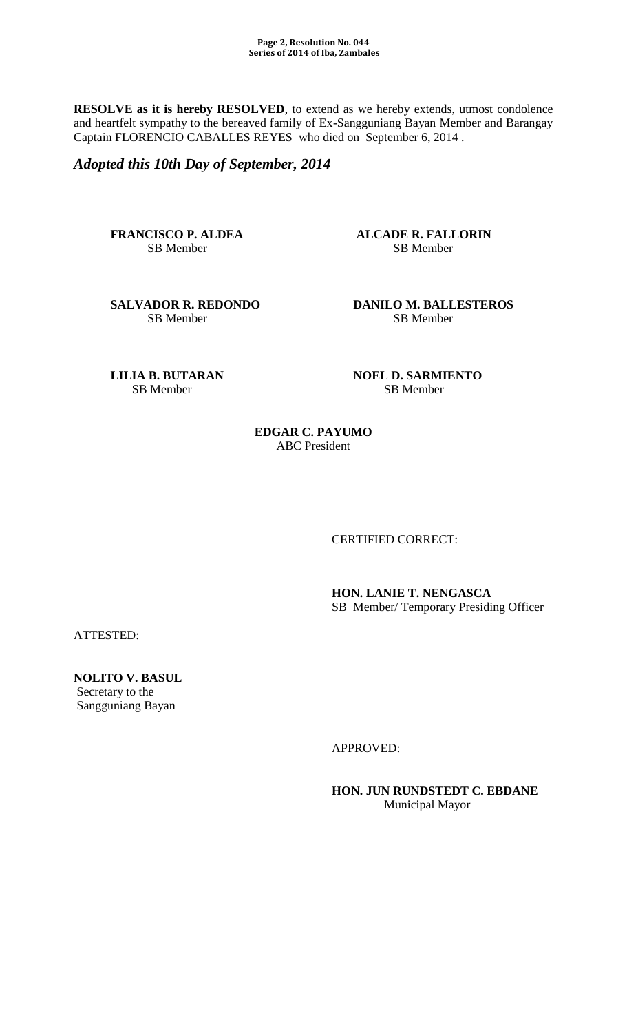**RESOLVE as it is hereby RESOLVED**, to extend as we hereby extends, utmost condolence and heartfelt sympathy to the bereaved family of Ex-Sangguniang Bayan Member and Barangay Captain FLORENCIO CABALLES REYES who died on September 6, 2014 .

*Adopted this 10th Day of September, 2014* 

**FRANCISCO P. ALDEA** ALCADE R. FALLORIN SB Member SB Member

SB Member

**SALVADOR R. REDONDO DANILO M. BALLESTEROS**<br>SB Member **SB Member** 

SB Member SB Member

**LILIA B. BUTARAN NOEL D. SARMIENTO** 

**EDGAR C. PAYUMO** ABC President

CERTIFIED CORRECT:

**HON. LANIE T. NENGASCA**  SB Member/ Temporary Presiding Officer

ATTESTED:

**NOLITO V. BASUL**  Secretary to the Sangguniang Bayan

APPROVED:

**HON. JUN RUNDSTEDT C. EBDANE** Municipal Mayor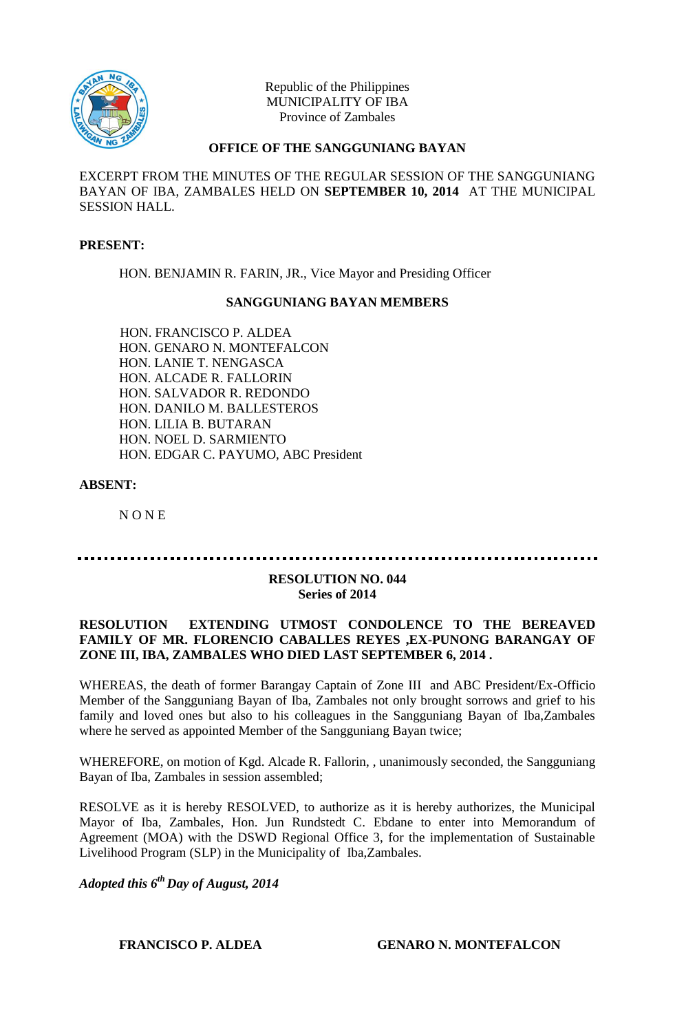

Republic of the Philippines MUNICIPALITY OF IBA Province of Zambales

#### **OFFICE OF THE SANGGUNIANG BAYAN**

EXCERPT FROM THE MINUTES OF THE REGULAR SESSION OF THE SANGGUNIANG BAYAN OF IBA, ZAMBALES HELD ON **SEPTEMBER 10, 2014** AT THE MUNICIPAL SESSION HALL.

#### **PRESENT:**

HON. BENJAMIN R. FARIN, JR., Vice Mayor and Presiding Officer

#### **SANGGUNIANG BAYAN MEMBERS**

HON. FRANCISCO P. ALDEA HON. GENARO N. MONTEFALCON HON. LANIE T. NENGASCA HON. ALCADE R. FALLORIN HON. SALVADOR R. REDONDO HON. DANILO M. BALLESTEROS HON. LILIA B. BUTARAN HON. NOEL D. SARMIENTO HON. EDGAR C. PAYUMO, ABC President

#### **ABSENT:**

N O N E

#### **RESOLUTION NO. 044 Series of 2014**

#### **RESOLUTION EXTENDING UTMOST CONDOLENCE TO THE BEREAVED FAMILY OF MR. FLORENCIO CABALLES REYES ,EX-PUNONG BARANGAY OF ZONE III, IBA, ZAMBALES WHO DIED LAST SEPTEMBER 6, 2014 .**

WHEREAS, the death of former Barangay Captain of Zone III and ABC President/Ex-Officio Member of the Sangguniang Bayan of Iba, Zambales not only brought sorrows and grief to his family and loved ones but also to his colleagues in the Sangguniang Bayan of Iba,Zambales where he served as appointed Member of the Sangguniang Bayan twice;

WHEREFORE, on motion of Kgd. Alcade R. Fallorin, , unanimously seconded, the Sangguniang Bayan of Iba, Zambales in session assembled;

RESOLVE as it is hereby RESOLVED, to authorize as it is hereby authorizes, the Municipal Mayor of Iba, Zambales, Hon. Jun Rundstedt C. Ebdane to enter into Memorandum of Agreement (MOA) with the DSWD Regional Office 3, for the implementation of Sustainable Livelihood Program (SLP) in the Municipality of Iba,Zambales.

*Adopted this 6th Day of August, 2014*